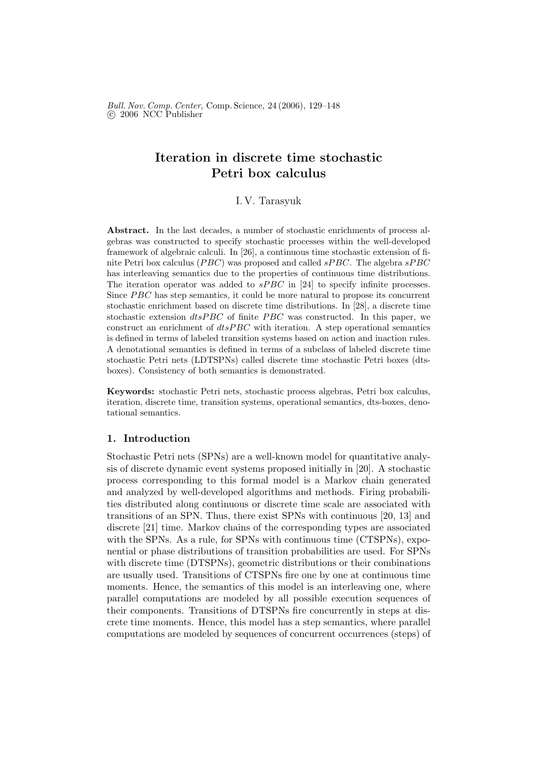Bull. Nov. Comp. Center, Comp. Science, 24 (2006), 129–148 °c 2006 NCC Publisher

# Iteration in discrete time stochastic Petri box calculus

# I. V. Tarasyuk

Abstract. In the last decades, a number of stochastic enrichments of process algebras was constructed to specify stochastic processes within the well-developed framework of algebraic calculi. In [26], a continuous time stochastic extension of finite Petri box calculus (*PBC*) was proposed and called *sPBC*. The algebra  $sPBC$ has interleaving semantics due to the properties of continuous time distributions. The iteration operator was added to  $sPBC$  in [24] to specify infinite processes. Since *PBC* has step semantics, it could be more natural to propose its concurrent stochastic enrichment based on discrete time distributions. In [28], a discrete time stochastic extension  $dtsPBC$  of finite PBC was constructed. In this paper, we construct an enrichment of  $disPBC$  with iteration. A step operational semantics is defined in terms of labeled transition systems based on action and inaction rules. A denotational semantics is defined in terms of a subclass of labeled discrete time stochastic Petri nets (LDTSPNs) called discrete time stochastic Petri boxes (dtsboxes). Consistency of both semantics is demonstrated.

Keywords: stochastic Petri nets, stochastic process algebras, Petri box calculus, iteration, discrete time, transition systems, operational semantics, dts-boxes, denotational semantics.

# 1. Introduction

Stochastic Petri nets (SPNs) are a well-known model for quantitative analysis of discrete dynamic event systems proposed initially in [20]. A stochastic process corresponding to this formal model is a Markov chain generated and analyzed by well-developed algorithms and methods. Firing probabilities distributed along continuous or discrete time scale are associated with transitions of an SPN. Thus, there exist SPNs with continuous [20, 13] and discrete [21] time. Markov chains of the corresponding types are associated with the SPNs. As a rule, for SPNs with continuous time (CTSPNs), exponential or phase distributions of transition probabilities are used. For SPNs with discrete time (DTSPNs), geometric distributions or their combinations are usually used. Transitions of CTSPNs fire one by one at continuous time moments. Hence, the semantics of this model is an interleaving one, where parallel computations are modeled by all possible execution sequences of their components. Transitions of DTSPNs fire concurrently in steps at discrete time moments. Hence, this model has a step semantics, where parallel computations are modeled by sequences of concurrent occurrences (steps) of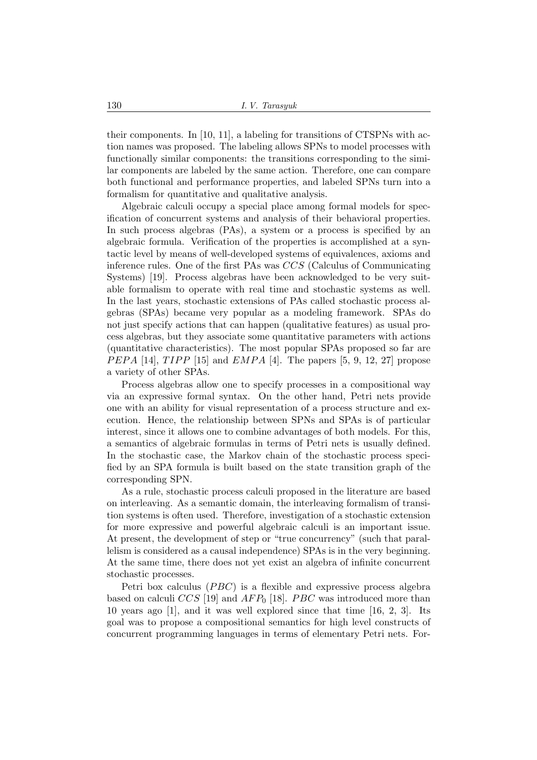their components. In [10, 11], a labeling for transitions of CTSPNs with action names was proposed. The labeling allows SPNs to model processes with functionally similar components: the transitions corresponding to the similar components are labeled by the same action. Therefore, one can compare both functional and performance properties, and labeled SPNs turn into a formalism for quantitative and qualitative analysis.

Algebraic calculi occupy a special place among formal models for specification of concurrent systems and analysis of their behavioral properties. In such process algebras (PAs), a system or a process is specified by an algebraic formula. Verification of the properties is accomplished at a syntactic level by means of well-developed systems of equivalences, axioms and inference rules. One of the first PAs was CCS (Calculus of Communicating Systems) [19]. Process algebras have been acknowledged to be very suitable formalism to operate with real time and stochastic systems as well. In the last years, stochastic extensions of PAs called stochastic process algebras (SPAs) became very popular as a modeling framework. SPAs do not just specify actions that can happen (qualitative features) as usual process algebras, but they associate some quantitative parameters with actions (quantitative characteristics). The most popular SPAs proposed so far are *PEPA* [14], *TIPP* [15] and *EMPA* [4]. The papers [5, 9, 12, 27] propose a variety of other SPAs.

Process algebras allow one to specify processes in a compositional way via an expressive formal syntax. On the other hand, Petri nets provide one with an ability for visual representation of a process structure and execution. Hence, the relationship between SPNs and SPAs is of particular interest, since it allows one to combine advantages of both models. For this, a semantics of algebraic formulas in terms of Petri nets is usually defined. In the stochastic case, the Markov chain of the stochastic process specified by an SPA formula is built based on the state transition graph of the corresponding SPN.

As a rule, stochastic process calculi proposed in the literature are based on interleaving. As a semantic domain, the interleaving formalism of transition systems is often used. Therefore, investigation of a stochastic extension for more expressive and powerful algebraic calculi is an important issue. At present, the development of step or "true concurrency" (such that parallelism is considered as a causal independence) SPAs is in the very beginning. At the same time, there does not yet exist an algebra of infinite concurrent stochastic processes.

Petri box calculus  $(PBC)$  is a flexible and expressive process algebra based on calculi CCS [19] and  $AFP<sub>0</sub>$  [18]. PBC was introduced more than 10 years ago [1], and it was well explored since that time [16, 2, 3]. Its goal was to propose a compositional semantics for high level constructs of concurrent programming languages in terms of elementary Petri nets. For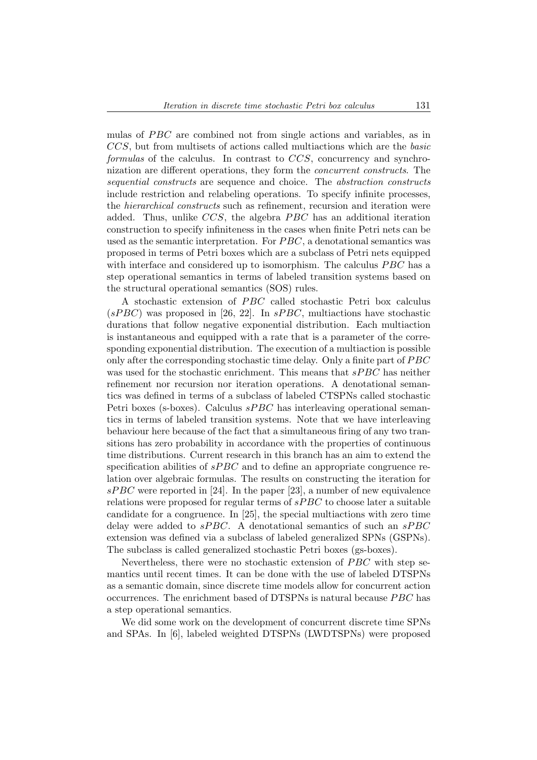mulas of PBC are combined not from single actions and variables, as in CCS, but from multisets of actions called multiactions which are the basic formulas of the calculus. In contrast to CCS, concurrency and synchronization are different operations, they form the concurrent constructs. The sequential constructs are sequence and choice. The abstraction constructs include restriction and relabeling operations. To specify infinite processes, the hierarchical constructs such as refinement, recursion and iteration were added. Thus, unlike  $CCS$ , the algebra  $PBC$  has an additional iteration construction to specify infiniteness in the cases when finite Petri nets can be used as the semantic interpretation. For  $PBC$ , a denotational semantics was proposed in terms of Petri boxes which are a subclass of Petri nets equipped with interface and considered up to isomorphism. The calculus  $PBC$  has a step operational semantics in terms of labeled transition systems based on the structural operational semantics (SOS) rules.

A stochastic extension of PBC called stochastic Petri box calculus  $(sPBC)$  was proposed in [26, 22]. In  $sPBC$ , multiactions have stochastic durations that follow negative exponential distribution. Each multiaction is instantaneous and equipped with a rate that is a parameter of the corresponding exponential distribution. The execution of a multiaction is possible only after the corresponding stochastic time delay. Only a finite part of PBC was used for the stochastic enrichment. This means that  $sPBC$  has neither refinement nor recursion nor iteration operations. A denotational semantics was defined in terms of a subclass of labeled CTSPNs called stochastic Petri boxes (s-boxes). Calculus  $sPBC$  has interleaving operational semantics in terms of labeled transition systems. Note that we have interleaving behaviour here because of the fact that a simultaneous firing of any two transitions has zero probability in accordance with the properties of continuous time distributions. Current research in this branch has an aim to extend the specification abilities of  $sPBC$  and to define an appropriate congruence relation over algebraic formulas. The results on constructing the iteration for sPBC were reported in [24]. In the paper [23], a number of new equivalence relations were proposed for regular terms of  $sPBC$  to choose later a suitable candidate for a congruence. In [25], the special multiactions with zero time delay were added to  $sPBC$ . A denotational semantics of such an  $sPBC$ extension was defined via a subclass of labeled generalized SPNs (GSPNs). The subclass is called generalized stochastic Petri boxes (gs-boxes).

Nevertheless, there were no stochastic extension of  $PBC$  with step semantics until recent times. It can be done with the use of labeled DTSPNs as a semantic domain, since discrete time models allow for concurrent action occurrences. The enrichment based of DTSPNs is natural because *PBC* has a step operational semantics.

We did some work on the development of concurrent discrete time SPNs and SPAs. In [6], labeled weighted DTSPNs (LWDTSPNs) were proposed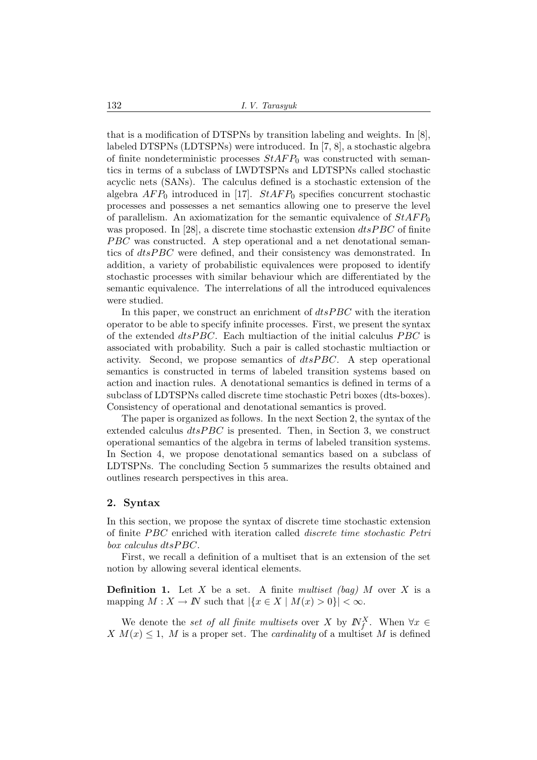that is a modification of DTSPNs by transition labeling and weights. In [8], labeled DTSPNs (LDTSPNs) were introduced. In [7, 8], a stochastic algebra of finite nondeterministic processes  $StAFP_0$  was constructed with semantics in terms of a subclass of LWDTSPNs and LDTSPNs called stochastic acyclic nets (SANs). The calculus defined is a stochastic extension of the algebra  $AFP_0$  introduced in [17].  $StAFP_0$  specifies concurrent stochastic processes and possesses a net semantics allowing one to preserve the level of parallelism. An axiomatization for the semantic equivalence of  $StAFP_0$ was proposed. In [28], a discrete time stochastic extension  $dtsPBC$  of finite  $PBC$  was constructed. A step operational and a net denotational semantics of *dtsPBC* were defined, and their consistency was demonstrated. In addition, a variety of probabilistic equivalences were proposed to identify stochastic processes with similar behaviour which are differentiated by the semantic equivalence. The interrelations of all the introduced equivalences were studied.

In this paper, we construct an enrichment of  $dtsPBC$  with the iteration operator to be able to specify infinite processes. First, we present the syntax of the extended  $dt s P B C$ . Each multiaction of the initial calculus  $P B C$  is associated with probability. Such a pair is called stochastic multiaction or activity. Second, we propose semantics of  $dtsPBC$ . A step operational semantics is constructed in terms of labeled transition systems based on action and inaction rules. A denotational semantics is defined in terms of a subclass of LDTSPNs called discrete time stochastic Petri boxes (dts-boxes). Consistency of operational and denotational semantics is proved.

The paper is organized as follows. In the next Section 2, the syntax of the extended calculus  $dtsPBC$  is presented. Then, in Section 3, we construct operational semantics of the algebra in terms of labeled transition systems. In Section 4, we propose denotational semantics based on a subclass of LDTSPNs. The concluding Section 5 summarizes the results obtained and outlines research perspectives in this area.

#### 2. Syntax

In this section, we propose the syntax of discrete time stochastic extension of finite PBC enriched with iteration called *discrete time stochastic Petri*  $box$  calculus  $dt$ s $PBC$ .

First, we recall a definition of a multiset that is an extension of the set notion by allowing several identical elements.

**Definition 1.** Let X be a set. A finite multiset (bag) M over X is a mapping  $M : X \to \mathbb{N}$  such that  $|\{x \in X \mid M(x) > 0\}| < \infty$ .

We denote the set of all finite multisets over X by  $\mathbb{N}_f^X$ . When  $\forall x \in$ X  $M(x) \leq 1$ , M is a proper set. The *cardinality* of a multiset M is defined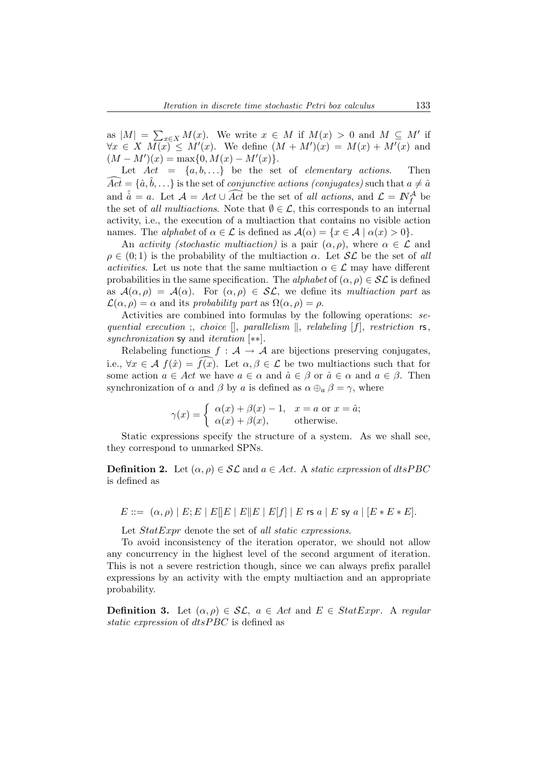as  $|M|$  =  $\sum_{x \in X} M(x)$ . We write  $x \in M$  if  $M(x) > 0$  and  $M \subseteq M'$  if  $\forall x \in X \ M(x) \leq M'(x)$ . We define  $(M + M')(x) = M(x) + M'(x)$  and  $(M - M')(x) = \max\{0, M(x) - M'(x)\}.$ 

Let  $Act = \{a, b, ...\}$  be the set of *elementary actions*. Then  $\widehat{Act} = {\hat{a}, \hat{b}, \ldots}$  is the set of *conjunctive actions (conjugates)* such that  $a \neq \hat{a}$ and  $\hat{a} = a$ . Let  $\mathcal{A} = Act \cup \widehat{Act}$  be the set of all actions, and  $\mathcal{L} = N_f^{\mathcal{A}}$  be the set of all multiactions. Note that  $\emptyset \in \mathcal{L}$ , this corresponds to an internal activity, i.e., the execution of a multiaction that contains no visible action names. The *alphabet* of  $\alpha \in \mathcal{L}$  is defined as  $\mathcal{A}(\alpha) = \{x \in \mathcal{A} \mid \alpha(x) > 0\}.$ 

An activity (stochastic multiaction) is a pair  $(\alpha, \rho)$ , where  $\alpha \in \mathcal{L}$  and  $\rho \in (0,1)$  is the probability of the multiaction  $\alpha$ . Let  $\mathcal{SL}$  be the set of all *activities.* Let us note that the same multiaction  $\alpha \in \mathcal{L}$  may have different probabilities in the same specification. The alphabet of  $(\alpha, \rho) \in \mathcal{SL}$  is defined as  $\mathcal{A}(\alpha,\rho) = \mathcal{A}(\alpha)$ . For  $(\alpha,\rho) \in \mathcal{SL}$ , we define its multiaction part as  $\mathcal{L}(\alpha,\rho) = \alpha$  and its probability part as  $\Omega(\alpha,\rho) = \rho$ .

Activities are combined into formulas by the following operations: sequential execution ;, choice  $\parallel$ , parallelism  $\parallel$ , relabeling  $[f]$ , restriction rs, synchronization sy and *iteration* [∗∗].

Relabeling functions  $f : A \to A$  are bijections preserving conjugates, i.e.,  $\forall x \in \mathcal{A}$   $f(\hat{x}) = \overline{f(x)}$ . Let  $\alpha, \beta \in \mathcal{L}$  be two multiactions such that for some action  $a \in Act$  we have  $a \in \alpha$  and  $\hat{a} \in \beta$  or  $\hat{a} \in \alpha$  and  $a \in \beta$ . Then synchronization of  $\alpha$  and  $\beta$  by a is defined as  $\alpha \oplus_{\alpha} \beta = \gamma$ , where

$$
\gamma(x) = \begin{cases} \alpha(x) + \beta(x) - 1, & x = a \text{ or } x = \hat{a}; \\ \alpha(x) + \beta(x), & \text{otherwise.} \end{cases}
$$

Static expressions specify the structure of a system. As we shall see, they correspond to unmarked SPNs.

**Definition 2.** Let  $(\alpha, \rho) \in \mathcal{SL}$  and  $a \in Act$ . A static expression of dtsPBC is defined as

$$
E ::= (\alpha, \rho) | E; E | E | E | E | E | E | E | f | E \text{ is a } | E \text{ sy a } | [E * E * E].
$$

Let  $StatExpr$  denote the set of all static expressions.

To avoid inconsistency of the iteration operator, we should not allow any concurrency in the highest level of the second argument of iteration. This is not a severe restriction though, since we can always prefix parallel expressions by an activity with the empty multiaction and an appropriate probability.

**Definition 3.** Let  $(\alpha, \rho) \in \mathcal{SL}$ ,  $a \in Act$  and  $E \in StatExpr$ . A regular static expression of  $dt$ s $PBC$  is defined as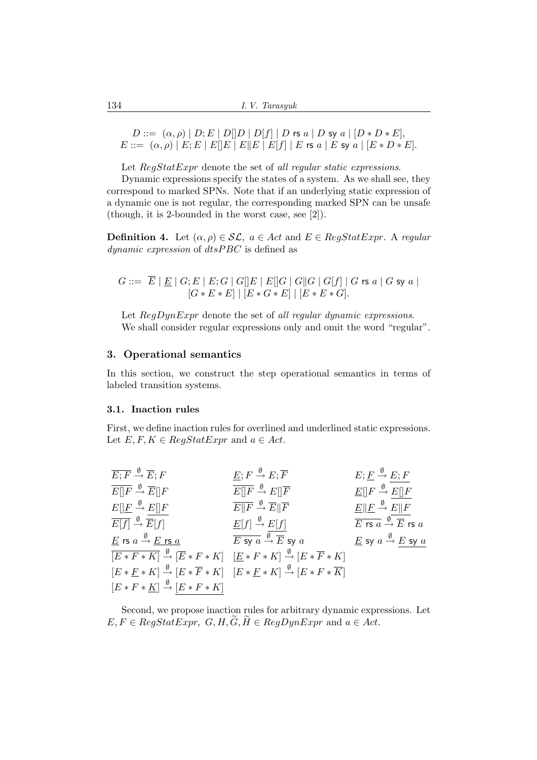$D ::= (\alpha, \rho) | D; E | D[|D | D[|f] | D$  rs  $a | D$  sy  $a | [D * D * E],$  $E ::= (\alpha, \rho) | E; E | E | E | E | E | E | E | f | E \text{ is a } | E \text{ sy a } | [E * D * E].$ 

Let RegStatExpr denote the set of all regular static expressions.

Dynamic expressions specify the states of a system. As we shall see, they correspond to marked SPNs. Note that if an underlying static expression of a dynamic one is not regular, the corresponding marked SPN can be unsafe (though, it is 2-bounded in the worst case, see [2]).

**Definition 4.** Let  $(\alpha, \rho) \in \mathcal{SL}$ ,  $a \in Act$  and  $E \in RegStatExpr$ . A regular  $dynamic$  expression of  $dtsPBC$  is defined as

$$
G ::= \overline{E} | \underline{E} | G; E | E; G | G[]E | E[]G | G[]G | G[f] | G \text{ rs } a | G \text{ sy } a |
$$
  

$$
[G * E * E] | [E * G * E] | [E * E * G].
$$

Let  $RegDynExpr$  denote the set of all regular dynamic expressions. We shall consider regular expressions only and omit the word "regular".

# 3. Operational semantics

In this section, we construct the step operational semantics in terms of labeled transition systems.

#### 3.1. Inaction rules

First, we define inaction rules for overlined and underlined static expressions. Let  $E, F, K \in RegStatExpr$  and  $a \in Act$ .

| $\overline{E;F} \stackrel{\emptyset}{\rightarrow} \overline{E};F$                         | $E; F \stackrel{\emptyset}{\rightarrow} E; \overline{F}$                                                                                             | $E; E \stackrel{\emptyset}{\rightarrow} E; F$                                     |
|-------------------------------------------------------------------------------------------|------------------------------------------------------------------------------------------------------------------------------------------------------|-----------------------------------------------------------------------------------|
| $\overline{E  F} \stackrel{\emptyset}{\rightarrow} \overline{E}  F$                       | $\overline{E  F} \stackrel{\emptyset}{\rightarrow} E  \overline{F}$                                                                                  | $\underline{E}[[F \xrightarrow{\emptyset} E][F$                                   |
| $E[\]underline{F} \stackrel{\emptyset}{\to} E[\]F$                                        | $\overline{E  F} \stackrel{\emptyset}{\rightarrow} \overline{E}  \overline{F}$                                                                       | $E  F \stackrel{\emptyset}{\rightarrow} E  F$                                     |
| $\overline{E[f]} \stackrel{\emptyset}{\rightarrow} \overline{E}[f]$                       | $\underline{E}[f] \stackrel{\emptyset}{\to} E[f]$                                                                                                    | $\overline{E \text{rs } a} \stackrel{\emptyset}{\rightarrow} \overline{E}$ rs $a$ |
| $\underline{E}$ rs $a \stackrel{\emptyset}{\rightarrow} \underline{E}$ rs $\underline{a}$ | $\overline{E}$ sy $\overline{a} \stackrel{\emptyset}{\rightarrow} \overline{E}$ sy $\overline{a}$                                                    | $\underline{E}$ sy $a \stackrel{\emptyset}{\rightarrow} E$ sy $a$                 |
|                                                                                           | $\overline{[E*F*K]} \stackrel{\emptyset}{\rightarrow} \overline{[E*F*K]} \quad \underline{[E*F*K]} \quad \underline{\emptyset} [E*\overline{F} * K]$ |                                                                                   |
|                                                                                           | $[E * F * K] \stackrel{\emptyset}{\rightarrow} [E * \overline{F} * K] \quad [E * F * K] \stackrel{\emptyset}{\rightarrow} [E * F * \overline{K}]$    |                                                                                   |
| $[E * F * \underline{K}] \stackrel{\emptyset}{\rightarrow} [E * F * K]$                   |                                                                                                                                                      |                                                                                   |

Second, we propose inaction rules for arbitrary dynamic expressions. Let  $E, F \in RegStatexpr, G, H, \widetilde{G}, \widetilde{H} \in RegDynExpr$  and  $a \in Act$ .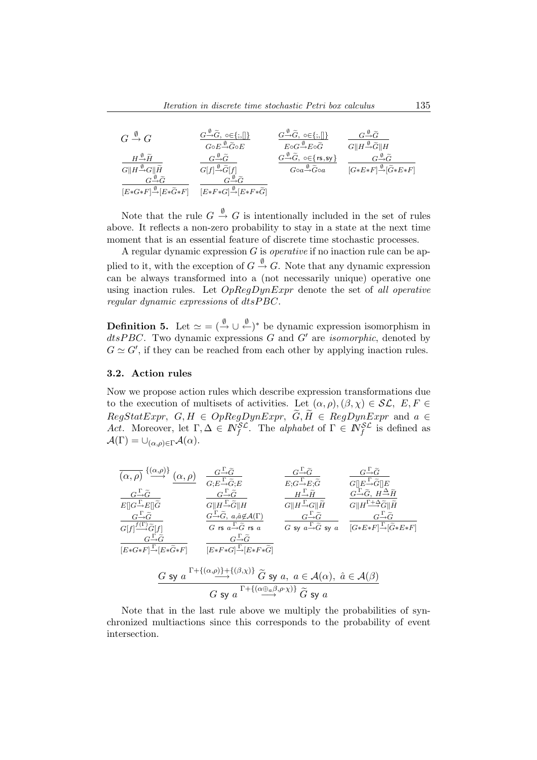| $G \stackrel{\emptyset}{\rightarrow} G$               | $G \rightarrow \widetilde{G}$ , $\circ \in \{ ; , \ \}$             | $G \rightarrow \widetilde{G}$ , $\circ \in \{ ; ,    \}$                                     | $G \rightarrow \widetilde{G}$                         |
|-------------------------------------------------------|---------------------------------------------------------------------|----------------------------------------------------------------------------------------------|-------------------------------------------------------|
|                                                       | $G{\circ}E{\overset{\emptyset}{\rightarrow}} \widetilde{G}{\circ}E$ | $E{\circ}G{\overset{\emptyset}{\rightarrow}}E{\circ}\widetilde{G}$                           | $G  H \frac{\emptyset}{\rightarrow} \widetilde{G}  H$ |
| $H {\overset{\emptyset}{\to}} \widetilde{H}$          | $G \rightarrow \widetilde{G}$                                       | $G \stackrel{\emptyset}{\rightarrow} \widetilde{G}$ , $\circ \in \{ \text{rs}, \text{sy} \}$ | $G \rightarrow \widetilde{G}$                         |
| $G  H \frac{\emptyset}{\rightarrow} G  \widetilde{H}$ | $G[f] \stackrel{\emptyset}{\rightarrow} \widetilde{G}[f]$           | $Goa \xrightarrow{\emptyset} \widetilde{G}$ oa                                               | $[G*E*F] \rightarrow \tilde{G}*E*F$                   |
| $[E*G*F] \rightarrow E*G*F$                           | $[E*F*G] \xrightarrow{\emptyset} [E*F*\widetilde{G}]$               |                                                                                              |                                                       |

Note that the rule  $G \stackrel{\emptyset}{\rightarrow} G$  is intentionally included in the set of rules above. It reflects a non-zero probability to stay in a state at the next time moment that is an essential feature of discrete time stochastic processes.

A regular dynamic expression  $G$  is *operative* if no inaction rule can be applied to it, with the exception of  $G \stackrel{\emptyset}{\rightarrow} G$ . Note that any dynamic expression can be always transformed into a (not necessarily unique) operative one using inaction rules. Let  $OpRegDynExpr$  denote the set of all operative regular dynamic expressions of  $dt$ s $PBC$ .

**Definition 5.** Let  $\simeq$   $=$   $(\stackrel{\emptyset}{\rightarrow} \cup \stackrel{\emptyset}{\leftarrow})^*$  be dynamic expression isomorphism in  $disPBC$ . Two dynamic expressions G and G' are *isomorphic*, denoted by  $G \simeq G'$ , if they can be reached from each other by applying inaction rules.

## 3.2. Action rules

Now we propose action rules which describe expression transformations due to the execution of multisets of activities. Let  $(\alpha, \rho), (\beta, \chi) \in \mathcal{SL}, E, F \in$  $RegStatExpr, G, H \in OpRegDynExpr, \widetilde{G}, \widetilde{H} \in RegDynExpr$  and  $a \in$ Act. Moreover, let  $\Gamma, \Delta \in \mathbb{N}_f^{\mathcal{SL}}$ . The alphabet of  $\Gamma \in \mathbb{N}_f^{\mathcal{SL}}$  is defined as  $\mathcal{A}(\Gamma) = \bigcup_{(\alpha,\rho)\in \Gamma} \mathcal{A}(\alpha).$ 

$$
\frac{\overline{(\alpha,\rho)}}{E[\overline{G\rightarrow\widetilde{G}}]} \xrightarrow{\alpha,\rho} \frac{\overline{G\rightarrow\widetilde{G}}}{G;E\rightarrow\widetilde{G};E} \qquad \frac{\overline{G\rightarrow\widetilde{G}}}{E;G\rightarrow E;\widetilde{G}} \qquad \frac{\overline{G\rightarrow\widetilde{G}}}{E[\overline{G\rightarrow\widetilde{G}}][E]}
$$
\n
$$
\frac{\overline{G\rightarrow\widetilde{G}}}{E[\overline{G\rightarrow\widetilde{E}}][\widetilde{G}]}\qquad \frac{\overline{G\rightarrow\widetilde{G}}}{G[\overline{H\rightarrow\widetilde{G}}][H]} \qquad \frac{\overline{G\rightarrow\widetilde{G}}}{G[\overline{H\rightarrow\widetilde{G}}][\widetilde{H}]}\qquad \frac{\overline{G\rightarrow\widetilde{G}}}{G[\overline{H\rightarrow\widetilde{G}}][\widetilde{H}]}\qquad \frac{\overline{G\rightarrow\widetilde{G}}}{G[\overline{H\rightarrow\widetilde{G}}][\widetilde{H}]}\qquad \frac{\overline{G\rightarrow\widetilde{G}}}{G\overline{H\rightarrow\widetilde{G}}}\qquad \frac{\overline{G\rightarrow\widetilde{G}}}{G\overline{H\rightarrow\widetilde{G}}}\qquad \frac{\overline{G\rightarrow\widetilde{G}}}{G\overline{H\rightarrow\widetilde{G}}}\qquad \frac{\overline{G\rightarrow\widetilde{G}}}{G\overline{H\rightarrow\widetilde{G}}}\qquad \frac{\overline{G\rightarrow\widetilde{G}}}{G\overline{H\rightarrow\widetilde{G}}}\qquad \frac{\overline{G\rightarrow\widetilde{G}}}{G\overline{H\rightarrow\widetilde{G}}}\qquad \frac{\overline{G\rightarrow\widetilde{G}}}{G\overline{H\rightarrow\widetilde{G}}}\qquad \frac{\overline{G\rightarrow\widetilde{G}}}{G\overline{H\rightarrow\widetilde{G}}}\qquad \frac{\overline{G\rightarrow\widetilde{G}}}{G\overline{H\rightarrow\widetilde{G}}}\qquad \frac{\overline{G\rightarrow\widetilde{G}}}{G\overline{H\rightarrow\widetilde{G}}}\qquad \frac{\overline{G\rightarrow\widetilde{G}}}{G\overline{H\rightarrow\widetilde{G}}}\qquad \frac{\overline{G\rightarrow\widetilde{G}}}{G\
$$

Note that in the last rule above we multiply the probabilities of synchronized multiactions since this corresponds to the probability of event intersection.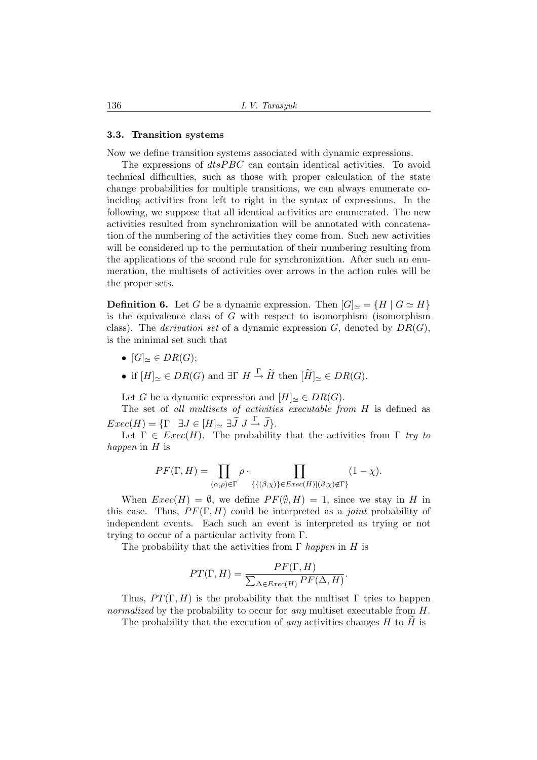#### 3.3. Transition systems

Now we define transition systems associated with dynamic expressions.

The expressions of  $dt s P B C$  can contain identical activities. To avoid technical difficulties, such as those with proper calculation of the state change probabilities for multiple transitions, we can always enumerate coinciding activities from left to right in the syntax of expressions. In the following, we suppose that all identical activities are enumerated. The new activities resulted from synchronization will be annotated with concatenation of the numbering of the activities they come from. Such new activities will be considered up to the permutation of their numbering resulting from the applications of the second rule for synchronization. After such an enumeration, the multisets of activities over arrows in the action rules will be the proper sets.

**Definition 6.** Let G be a dynamic expression. Then  $|G|_{\simeq} = \{H \mid G \simeq H\}$ is the equivalence class of G with respect to isomorphism (isomorphism class). The *derivation set* of a dynamic expression  $G$ , denoted by  $DR(G)$ , is the minimal set such that

- $[G]_{\sim} \in DR(G);$
- if  $[H]_{\simeq} \in DR(G)$  and  $\exists \Gamma \ H \stackrel{\Gamma}{\to} \widetilde{H}$  then  $[\widetilde{H}]_{\simeq} \in DR(G)$ .

Let G be a dynamic expression and  $[H]_{\simeq} \in DR(G)$ .

The set of all multisets of activities executable from H is defined as  $Exec(H) = {\Gamma \mid \exists J \in [H]_{\simeq} \exists \widetilde{J} \ J \stackrel{\Gamma}{\rightarrow} \widetilde{J}}.$ 

Let  $\Gamma \in \text{Exec}(H)$ . The probability that the activities from  $\Gamma$  try to happen in H is

$$
PF(\Gamma, H) = \prod_{(\alpha,\rho)\in\Gamma} \rho \cdot \prod_{\{\{(\beta,\chi)\}\in Excel(H)|(\beta,\chi)\notin\Gamma\}} (1-\chi).
$$

When  $Exec(H) = \emptyset$ , we define  $PF(\emptyset, H) = 1$ , since we stay in H in this case. Thus,  $PF(\Gamma, H)$  could be interpreted as a *joint* probability of independent events. Each such an event is interpreted as trying or not trying to occur of a particular activity from Γ.

The probability that the activities from  $\Gamma$  happen in H is

$$
PT(\Gamma, H) = \frac{PF(\Gamma, H)}{\sum_{\Delta \in E}{\text{tree}(H)} PF(\Delta, H)}.
$$

Thus,  $PT(\Gamma, H)$  is the probability that the multiset  $\Gamma$  tries to happen normalized by the probability to occur for any multiset executable from H.

The probability that the execution of *any* activities changes  $H$  to  $H$  is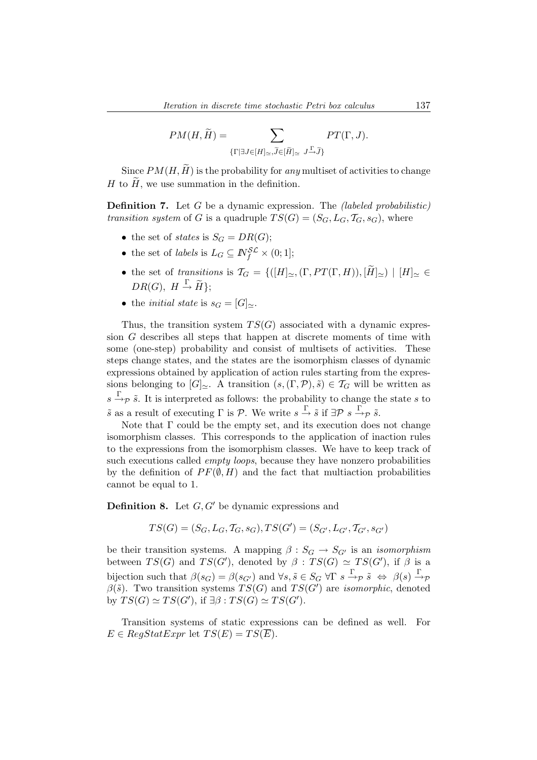$$
PM(H, \widetilde{H}) = \sum_{\{\Gamma \mid \exists J \in [H]_{\simeq}, \widetilde{J} \in [\widetilde{H}]_{\simeq}} \prod_{J \xrightarrow{\Gamma}, \widetilde{J}\}} PT(\Gamma, J).
$$

Since  $PM(H, \widetilde{H})$  is the probability for any multiset of activities to change H to  $\tilde{H}$ , we use summation in the definition.

**Definition 7.** Let G be a dynamic expression. The *(labeled probabilistic)* transition system of G is a quadruple  $TS(G) = (S_G, L_G, T_G, s_G)$ , where

- the set of *states* is  $S_G = DR(G);$
- the set of *labels* is  $L_G \subseteq \mathbb{N}_f^{\mathcal{SL}} \times (0,1];$
- the set of transitions is  $\mathcal{T}_G = \{([H]_{\simeq},(\Gamma, PT(\Gamma, H)), |\tilde{H}|_{\simeq}\}\ |H|_{\simeq \infty}$  $DR(G), H \stackrel{\Gamma}{\rightarrow} \widetilde{H}$ ;
- the *initial state* is  $s_G = [G]_{\simeq}$ .

Thus, the transition system  $TS(G)$  associated with a dynamic expression G describes all steps that happen at discrete moments of time with some (one-step) probability and consist of multisets of activities. These steps change states, and the states are the isomorphism classes of dynamic expressions obtained by application of action rules starting from the expressions belonging to  $[G]_{\simeq}$ . A transition  $(s,(\Gamma,\mathcal{P}),\tilde{s}) \in \mathcal{T}_G$  will be written as  $s \stackrel{\Gamma}{\rightarrow} p \tilde{s}$ . It is interpreted as follows: the probability to change the state s to  $\tilde{s}$  as a result of executing  $\Gamma$  is  $\mathcal{P}$ . We write  $s \stackrel{\Gamma}{\rightarrow} \tilde{s}$  if  $\exists \mathcal{P} \ s \stackrel{\Gamma}{\rightarrow} \mathcal{P} \ \tilde{s}$ .

Note that  $\Gamma$  could be the empty set, and its execution does not change isomorphism classes. This corresponds to the application of inaction rules to the expressions from the isomorphism classes. We have to keep track of such executions called *empty loops*, because they have nonzero probabilities by the definition of  $PF(\emptyset, H)$  and the fact that multiaction probabilities cannot be equal to 1.

**Definition 8.** Let  $G, G'$  be dynamic expressions and

$$
TS(G) = (S_G, L_G, T_G, s_G), TS(G') = (S_{G'}, L_{G'}, T_{G'}, s_{G'})
$$

be their transition systems. A mapping  $\beta : S_G \to S_{G'}$  is an *isomorphism* between  $TS(G)$  and  $TS(G')$ , denoted by  $\beta : TS(G) \simeq TS(G')$ , if  $\beta$  is a bijection such that  $\beta(s_G) = \beta(s_{G'})$  and  $\forall s, \tilde{s} \in S_G \forall \Gamma \ s \xrightarrow{\Gamma} \tilde{s} \Leftrightarrow \beta(s) \xrightarrow{\Gamma} \tilde{s}$  $\beta(\tilde{s})$ . Two transition systems  $TS(G)$  and  $TS(G')$  are *isomorphic*, denoted by  $TS(G) \simeq TS(G')$ , if  $\exists \beta : TS(G) \simeq TS(G')$ .

Transition systems of static expressions can be defined as well. For  $E \in RegStatExpr$  let  $TS(E) = TS(E)$ .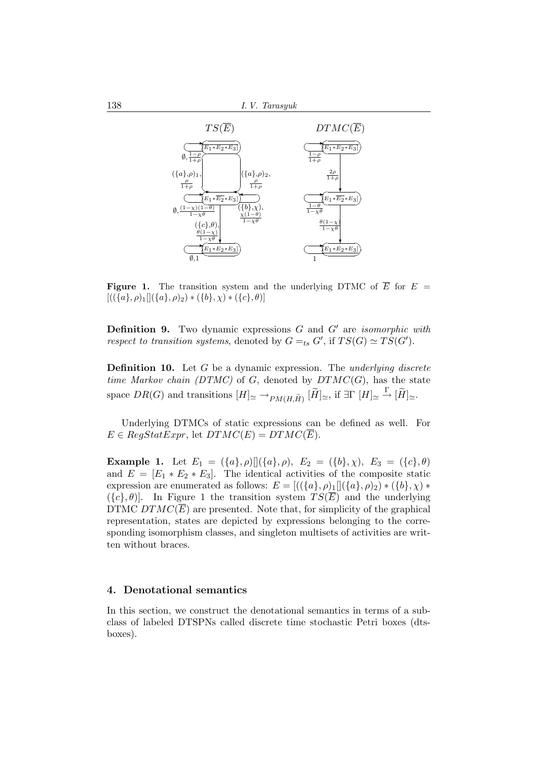

**Figure 1.** The transition system and the underlying DTMC of  $\overline{E}$  for  $E =$  $[((\{a\}, \rho)_1][(\{a\}, \rho)_2) * (\{b\}, \chi) * (\{c\}, \theta)]$ 

**Definition 9.** Two dynamic expressions  $G$  and  $G'$  are *isomorphic with* respect to transition systems, denoted by  $G =_{ts} G'$ , if  $TS(G) \simeq TS(G')$ .

**Definition 10.** Let  $G$  be a dynamic expression. The underlying discrete time Markov chain (DTMC) of G, denoted by  $DTMC(G)$ , has the state space  $DR(G)$  and transitions  $[H]_{\simeq} \rightarrow_{PM(H, \widetilde{H})} [\widetilde{H}]_{\simeq}$ , if  $\exists \Gamma[H]_{\simeq} \stackrel{\Gamma}{\rightarrow} [\widetilde{H}]_{\simeq}$ .

Underlying DTMCs of static expressions can be defined as well. For  $E \in RegStatexpr$ , let  $DTMC(E) = DTMC(\overline{E}).$ 

**Example 1.** Let  $E_1 = (\{a\}, \rho) [](\{a\}, \rho), E_2 = (\{b\}, \chi), E_3 = (\{c\}, \theta)$ and  $E = [E_1 * E_2 * E_3]$ . The identical activities of the composite static expression are enumerated as follows:  $E = [((\{a\}, \rho)_1] | (\{a\}, \rho)_2) * (\{b\}, \chi) *$  $({c}, \theta)$ . In Figure 1 the transition system  $TS(\overline{E})$  and the underlying DTMC  $DTMC(\overline{E})$  are presented. Note that, for simplicity of the graphical representation, states are depicted by expressions belonging to the corresponding isomorphism classes, and singleton multisets of activities are written without braces.

#### 4. Denotational semantics

In this section, we construct the denotational semantics in terms of a subclass of labeled DTSPNs called discrete time stochastic Petri boxes (dtsboxes).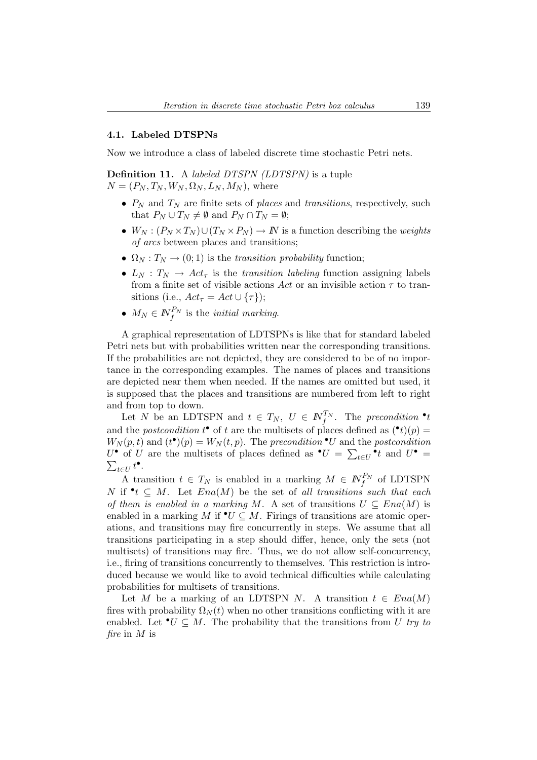## 4.1. Labeled DTSPNs

Now we introduce a class of labeled discrete time stochastic Petri nets.

Definition 11. A labeled DTSPN (LDTSPN) is a tuple  $N = (P_N, T_N, W_N, \Omega_N, L_N, M_N)$ , where

- $P_N$  and  $T_N$  are finite sets of places and transitions, respectively, such that  $P_N \cup T_N \neq \emptyset$  and  $P_N \cap T_N = \emptyset$ ;
- $W_N : (P_N \times T_N) \cup (T_N \times P_N) \to N$  is a function describing the *weights* of arcs between places and transitions;
- $\Omega_N : T_N \to (0, 1)$  is the transition probability function;
- $L_N$ :  $T_N \rightarrow Act_\tau$  is the transition labeling function assigning labels from a finite set of visible actions Act or an invisible action  $\tau$  to transitions (i.e.,  $Act_{\tau} = Act \cup {\tau}$ );
- $M_N \in I\!\!N_f^{P_N}$  is the *initial marking*.

A graphical representation of LDTSPNs is like that for standard labeled Petri nets but with probabilities written near the corresponding transitions. If the probabilities are not depicted, they are considered to be of no importance in the corresponding examples. The names of places and transitions are depicted near them when needed. If the names are omitted but used, it is supposed that the places and transitions are numbered from left to right and from top to down.

Let N be an LDTSPN and  $t \in T_N$ ,  $U \in \mathbb{N}_{f}^{T_N}$ . The precondition  $\cdot t$ and the *postcondition*  $t^{\bullet}$  of t are the multisets of places defined as  $({}^{\bullet}t)(p)$  =  $W_N(p,t)$  and  $(t^{\bullet})(p) = W_N(t,p)$ . The precondition  $\bullet U$  and the postcondition  $U^{\bullet}$  of U are the multisets of places defined as  $^{\bullet}U = \sum_{t \in U}^{\bullet} t$  and  $U^{\bullet} =$  $_{t\in U}t^{\bullet}$ .

A transition  $t \in T_N$  is enabled in a marking  $M \in \mathbb{N}_f^{P_N}$  of LDTSPN N if  $\bullet t \subseteq M$ . Let  $Ena(M)$  be the set of all transitions such that each of them is enabled in a marking M. A set of transitions  $U \subseteq Ena(M)$  is enabled in a marking M if  $\bullet U \subseteq M$ . Firings of transitions are atomic operations, and transitions may fire concurrently in steps. We assume that all transitions participating in a step should differ, hence, only the sets (not multisets) of transitions may fire. Thus, we do not allow self-concurrency, i.e., firing of transitions concurrently to themselves. This restriction is introduced because we would like to avoid technical difficulties while calculating probabilities for multisets of transitions.

Let M be a marking of an LDTSPN N. A transition  $t \in Ena(M)$ fires with probability  $\Omega_N(t)$  when no other transitions conflicting with it are enabled. Let  $\mathbf{v} \in M$ . The probability that the transitions from U try to fire in  $M$  is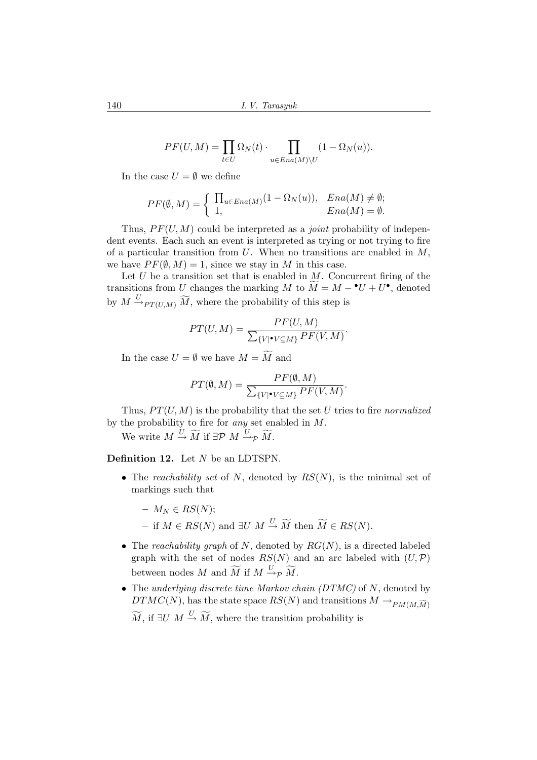$$
PF(U, M) = \prod_{t \in U} \Omega_N(t) \cdot \prod_{u \in Ena(M) \setminus U} (1 - \Omega_N(u)).
$$

In the case  $U = \emptyset$  we define

$$
PF(\emptyset, M) = \begin{cases} \prod_{u \in Ena(M)} (1 - \Omega_N(u)), & Ena(M) \neq \emptyset; \\ 1, & Ena(M) = \emptyset. \end{cases}
$$

Thus,  $PF(U, M)$  could be interpreted as a *joint* probability of independent events. Each such an event is interpreted as trying or not trying to fire of a particular transition from  $U$ . When no transitions are enabled in  $M$ . we have  $PF(\emptyset, M) = 1$ , since we stay in M in this case.

Let  $U$  be a transition set that is enabled in  $M$ . Concurrent firing of the transitions from U changes the marking M to  $\widetilde{M} = M - {}^{\bullet}U + U^{\bullet}$ , denoted by  $M \stackrel{U}{\rightarrow}_{PT(U,M)} \widetilde{M}$ , where the probability of this step is

$$
PT(U, M) = \frac{PF(U, M)}{\sum_{\{V | \bullet V \subseteq M\}} PF(V, M)}.
$$

In the case  $U = \emptyset$  we have  $M = \widetilde{M}$  and

$$
PT(\emptyset, M) = \frac{PF(\emptyset, M)}{\sum_{\{V | \bullet V \subseteq M\}} PF(V, M)}.
$$

Thus,  $PT(U, M)$  is the probability that the set U tries to fire normalized by the probability to fire for any set enabled in M.

We write  $M \stackrel{U}{\rightarrow} \widetilde{M}$  if  $\exists \mathcal{P} \ M \stackrel{U}{\rightarrow}_{\mathcal{P}} \widetilde{M}$ .

Definition 12. Let N be an LDTSPN.

- The reachability set of N, denoted by  $RS(N)$ , is the minimal set of markings such that
	- $M_N \in RS(N);$
	- if  $M \in RS(N)$  and  $\exists U \ M \stackrel{U}{\rightarrow} \widetilde{M}$  then  $\widetilde{M} \in RS(N)$ .
- The reachability graph of N, denoted by  $RG(N)$ , is a directed labeled graph with the set of nodes  $RS(N)$  and an arc labeled with  $(U, \mathcal{P})$ between nodes M and  $\widetilde{M}$  if  $M \stackrel{U}{\rightarrow} p \widetilde{M}$ .
- The underlying discrete time Markov chain  $(DTMC)$  of N, denoted by  $DTMC(N)$ , has the state space  $RS(N)$  and transitions  $M \to_{PM(M,\widetilde{M})}$

 $\widetilde{M}$ , if  $\exists U \; M \stackrel{U}{\rightarrow} \widetilde{M}$ , where the transition probability is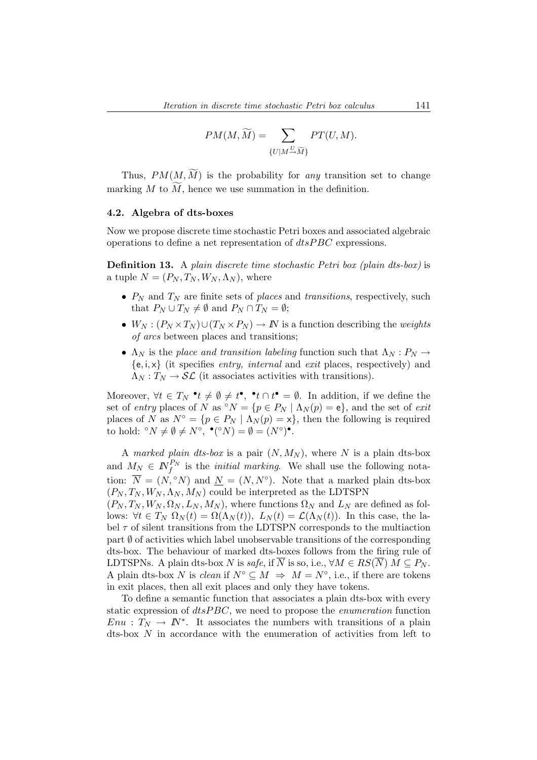$$
PM(M, \widetilde{M}) = \sum_{\{U \mid M \stackrel{U}{\to} \widetilde{M}\}} PT(U, M).
$$

Thus,  $PM(M, \widetilde{M})$  is the probability for any transition set to change marking  $M$  to  $\overline{M}$ , hence we use summation in the definition.

## 4.2. Algebra of dts-boxes

Now we propose discrete time stochastic Petri boxes and associated algebraic operations to define a net representation of  $dtsPBC$  expressions.

Definition 13. A plain discrete time stochastic Petri box (plain dts-box) is a tuple  $N = (P_N, T_N, W_N, \Lambda_N)$ , where

- $P_N$  and  $T_N$  are finite sets of places and transitions, respectively, such that  $P_N \cup T_N \neq \emptyset$  and  $P_N \cap T_N = \emptyset$ ;
- $W_N : (P_N \times T_N) \cup (T_N \times P_N) \to N$  is a function describing the weights of arcs between places and transitions;
- $\Lambda_N$  is the place and transition labeling function such that  $\Lambda_N : P_N \to$  ${e, i, x}$  (it specifies *entry, internal* and *exit* places, respectively) and  $\Lambda_N: T_N \to \mathcal{SL}$  (it associates activities with transitions).

Moreover,  $\forall t \in T_N \cdot t \neq \emptyset \neq t^{\bullet}, \ \mathbf{f} \cap t^{\bullet} = \emptyset$ . In addition, if we define the set of entry places of N as  $\circ N = \{p \in P_N \mid \Lambda_N(p) = e\}$ , and the set of exit places of N as  $N^{\circ} = \{p \in P_N \mid \Lambda_N(p) = x\}$ , then the following is required to hold:  ${}^{\circ}N \neq \emptyset \neq N^{\circ}, \bullet({}^{\circ}N) = \emptyset = (N^{\circ})^{\bullet}.$ 

A marked plain dts-box is a pair  $(N, M_N)$ , where N is a plain dts-box and  $M_N \in \mathbb{N}_f^{P_N}$  is the *initial marking*. We shall use the following notation:  $\overline{N} = (N, \degree N)$  and  $\underline{N} = (N, N^{\degree})$ . Note that a marked plain dts-box  $(P_N, T_N, W_N, \Lambda_N, M_N)$  could be interpreted as the LDTSPN

 $(P_N, T_N, W_N, \Omega_N, L_N, M_N)$ , where functions  $\Omega_N$  and  $L_N$  are defined as follows:  $\forall t \in T_N \Omega_N(t) = \Omega(\Lambda_N(t)), L_N(t) = \mathcal{L}(\Lambda_N(t)).$  In this case, the label  $\tau$  of silent transitions from the LDTSPN corresponds to the multiaction part  $\emptyset$  of activities which label unobservable transitions of the corresponding dts-box. The behaviour of marked dts-boxes follows from the firing rule of LDTSPNs. A plain dts-box N is safe, if  $\overline{N}$  is so, i.e.,  $\forall M \in RS(\overline{N}) M \subseteq P_N$ . A plain dts-box N is clean if  $N^{\circ} \subseteq M \implies M = N^{\circ}$ , i.e., if there are tokens in exit places, then all exit places and only they have tokens.

To define a semantic function that associates a plain dts-box with every static expression of  $dt s PBC$ , we need to propose the *enumeration* function  $Enu : T_N \to \mathbb{N}^*$ . It associates the numbers with transitions of a plain dts-box N in accordance with the enumeration of activities from left to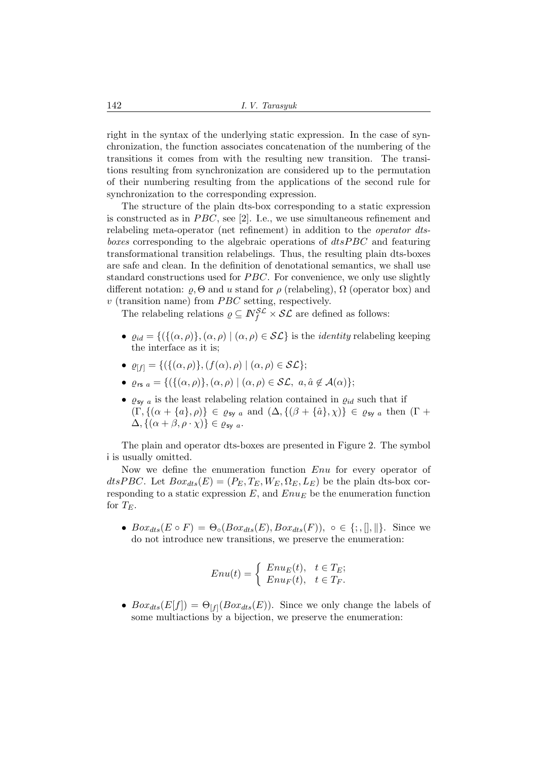right in the syntax of the underlying static expression. In the case of synchronization, the function associates concatenation of the numbering of the transitions it comes from with the resulting new transition. The transitions resulting from synchronization are considered up to the permutation of their numbering resulting from the applications of the second rule for synchronization to the corresponding expression.

The structure of the plain dts-box corresponding to a static expression is constructed as in  $PBC$ , see [2]. I.e., we use simultaneous refinement and relabeling meta-operator (net refinement) in addition to the operator dtsboxes corresponding to the algebraic operations of  $dtsPBC$  and featuring transformational transition relabelings. Thus, the resulting plain dts-boxes are safe and clean. In the definition of denotational semantics, we shall use standard constructions used for  $PBC$ . For convenience, we only use slightly different notation:  $\varrho$ ,  $\Theta$  and u stand for  $\rho$  (relabeling),  $\Omega$  (operator box) and  $v$  (transition name) from  $PBC$  setting, respectively.

The relabeling relations  $\rho \subseteq \mathbb{N}_{f}^{\mathcal{SL}} \times \mathcal{SL}$  are defined as follows:

- $\varrho_{id} = \{ (\{(\alpha, \rho)\}, (\alpha, \rho) \mid (\alpha, \rho) \in \mathcal{SL} \}$  is the *identity* relabeling keeping the interface as it is;
- $\varrho_{[f]} = \{ (\{(\alpha, \rho)\}, (f(\alpha), \rho) \mid (\alpha, \rho) \in \mathcal{SL} \};$
- $\varrho_{rs a} = \{ (\{ (\alpha, \rho) \}, (\alpha, \rho) \mid (\alpha, \rho) \in \mathcal{SL}, \ a, \hat{a} \notin \mathcal{A}(\alpha) \};$
- $\bullet$   $\varrho_{\mathsf{sy}\ a}$  is the least relabeling relation contained in  $\varrho_{id}$  such that if  $(\Gamma, \{(\alpha + \{a\}, \rho)\}\in \varrho_{sy\ a} \text{ and } (\Delta, \{(\beta + \{\hat{a}\}, \chi)\}\in \varrho_{sy\ a} \text{ then } (\Gamma + \{(\beta + \{a\}, \chi)\}\in \varrho_{sy\ a})$  $\Delta, \{(\alpha + \beta, \rho \cdot \chi)\}\in \rho_{\text{sv }a}.$

The plain and operator dts-boxes are presented in Figure 2. The symbol i is usually omitted.

Now we define the enumeration function  $Enu$  for every operator of dtsPBC. Let  $Box_{dts}(E) = (P_E, T_E, W_E, \Omega_E, L_E)$  be the plain dts-box corresponding to a static expression  $E$ , and  $Enu<sub>E</sub>$  be the enumeration function for  $T_E$ .

•  $Box_{dts}(E \circ F) = \Theta_{\circ}(Box_{dts}(E),Box_{dts}(F)), \circ \in \{; , \|, \| \}.$  Since we do not introduce new transitions, we preserve the enumeration:

$$
Enu(t) = \begin{cases} Enu_E(t), & t \in T_E; \\ Enu_F(t), & t \in T_F. \end{cases}
$$

•  $Box_{ds}(E[f]) = \Theta_{[f]}(Box_{ds}(E)).$  Since we only change the labels of some multiactions by a bijection, we preserve the enumeration: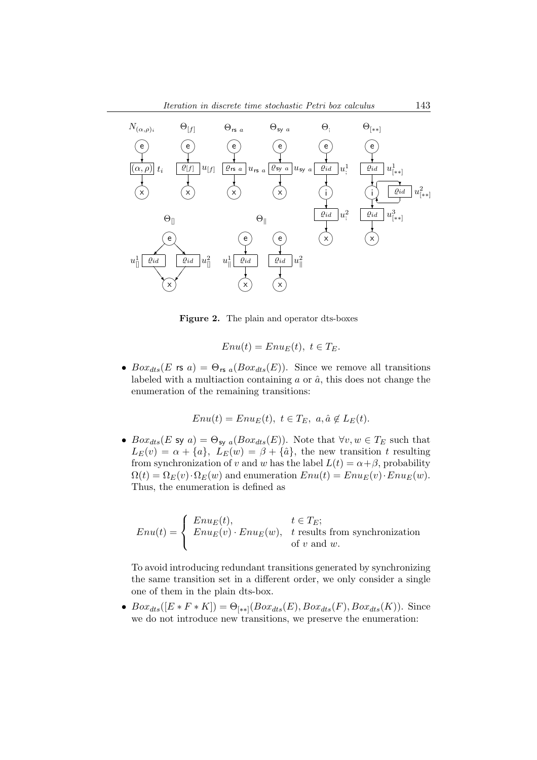

Figure 2. The plain and operator dts-boxes

$$
Enu(t) = EnuE(t), t \in TE.
$$

•  $Box_{dts}(E \text{ is } a) = \Theta_{\text{rs } a}(Box_{dts}(E)).$  Since we remove all transitions labeled with a multiaction containing  $a$  or  $\hat{a}$ , this does not change the enumeration of the remaining transitions:

$$
Enu(t) = EnuE(t), t \in TE, a, \hat{a} \notin LE(t).
$$

•  $Box_{ds}(E \text{ sy } a) = \Theta_{\text{sy } a}(Box_{ds}(E)).$  Note that  $\forall v, w \in T_E$  such that  $L_E(v) = \alpha + \{a\}, L_E(w) = \beta + \{\hat{a}\},$  the new transition t resulting from synchronization of v and w has the label  $L(t) = \alpha + \beta$ , probability  $\Omega(t) = \Omega_E(v) \cdot \Omega_E(w)$  and enumeration  $Env(t) = Env_E(v) \cdot Env_E(w)$ . Thus, the enumeration is defined as

$$
Env(t) = \begin{cases} Enu_E(t), & t \in T_E; \\ Enu_E(v) \cdot Enu_E(w), & t \text{ results from synchronization} \\ \text{of } v \text{ and } w. \end{cases}
$$

To avoid introducing redundant transitions generated by synchronizing the same transition set in a different order, we only consider a single one of them in the plain dts-box.

•  $Box_{ds}([E * F * K]) = \Theta_{[**]}(Box_{ds}(E),Box_{ds}(F),Box_{ds}(K)).$  Since we do not introduce new transitions, we preserve the enumeration: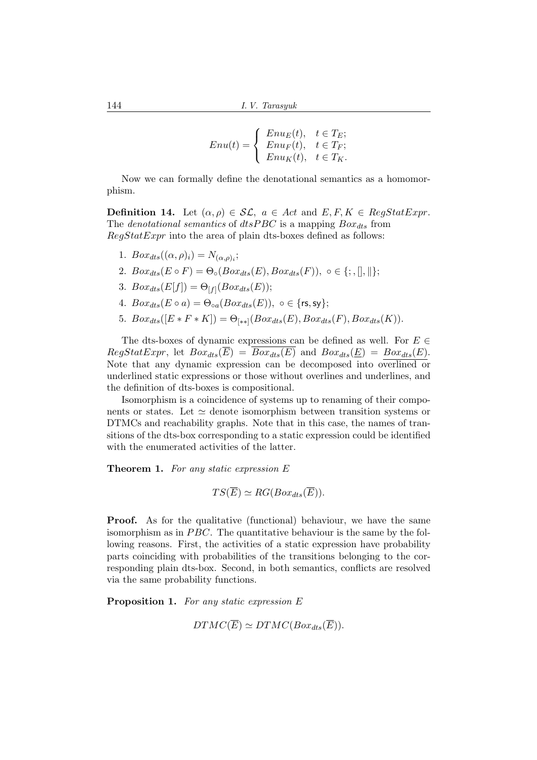$$
Enu(t) = \begin{cases} Enu_E(t), & t \in T_E; \\ Enu_F(t), & t \in T_F; \\ Enu_K(t), & t \in T_K. \end{cases}
$$

Now we can formally define the denotational semantics as a homomorphism.

**Definition 14.** Let  $(\alpha, \rho) \in \mathcal{SL}$ ,  $a \in Act$  and  $E, F, K \in RegStatExpr$ . The denotational semantics of dtsPBC is a mapping  $Box_{dts}$  from  $RegStatExpr$  into the area of plain dts-boxes defined as follows:

- 1.  $Box_{dts}((\alpha, \rho)_i) = N_{(\alpha, \rho)_i};$
- 2.  $Box_{dts}(E \circ F) = \Theta_{\circ}(Box_{dts}(E), Box_{dts}(F)), \circ \in \{; , \|, \| \};$
- 3.  $Box_{dts}(E[f]) = \Theta_{[f]}(Box_{dts}(E));$
- 4.  $Box_{dts}(E \circ a) = \Theta_{oa}(Box_{dts}(E)), o \in \{rs, sy\};$
- 5.  $Box_{dts}([E * F * K]) = \Theta_{[**]}(Box_{dts}(E), Box_{dts}(F), Box_{dts}(K)).$

The dts-boxes of dynamic expressions can be defined as well. For  $E \in$  $RegStatExpr$ , let  $Box_{dts}(\overline{E}) = \overline{Box_{dts}(E)}$  and  $Box_{dts}(\underline{E}) = Box_{dts}(E)$ . Note that any dynamic expression can be decomposed into overlined or underlined static expressions or those without overlines and underlines, and the definition of dts-boxes is compositional.

Isomorphism is a coincidence of systems up to renaming of their components or states. Let  $\simeq$  denote isomorphism between transition systems or DTMCs and reachability graphs. Note that in this case, the names of transitions of the dts-box corresponding to a static expression could be identified with the enumerated activities of the latter.

**Theorem 1.** For any static expression  $E$ 

$$
TS(\overline{E}) \simeq RG(Box_{dts}(\overline{E})).
$$

**Proof.** As for the qualitative (functional) behaviour, we have the same isomorphism as in  $PBC$ . The quantitative behaviour is the same by the following reasons. First, the activities of a static expression have probability parts coinciding with probabilities of the transitions belonging to the corresponding plain dts-box. Second, in both semantics, conflicts are resolved via the same probability functions.

Proposition 1. For any static expression E

$$
DTMC(\overline{E}) \simeq DTMC(Box_{dts}(\overline{E})).
$$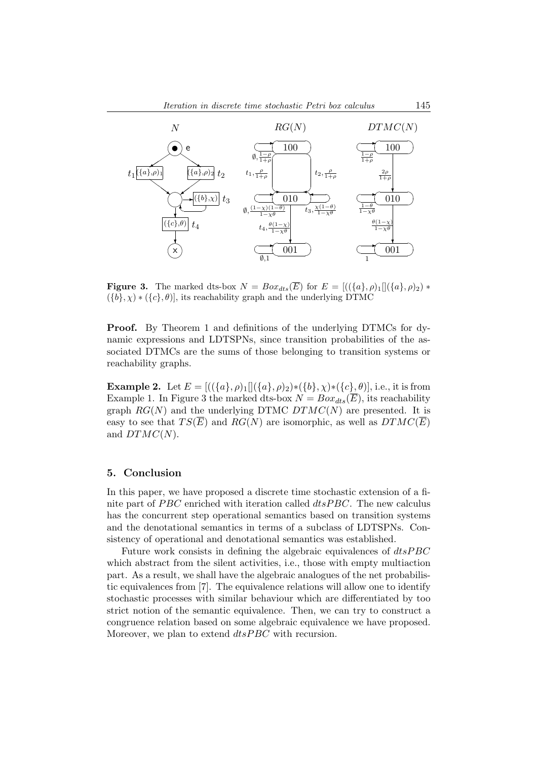

**Figure 3.** The marked dts-box  $N = Box_{dts}(\overline{E})$  for  $E = [((\{a\}, \rho)_1][(\{a\}, \rho)_2) *$  $({b}, \chi) * ({c}, \theta)$ , its reachability graph and the underlying DTMC

Proof. By Theorem 1 and definitions of the underlying DTMCs for dynamic expressions and LDTSPNs, since transition probabilities of the associated DTMCs are the sums of those belonging to transition systems or reachability graphs.

**Example 2.** Let  $E = [((\{a\}, \rho)_1][(\{a\}, \rho)_2) * (\{b\}, \chi) * (\{c\}, \theta)],$  i.e., it is from Example 1. In Figure 3 the marked dts-box  $N = Box_{ds}(\overline{E})$ , its reachability graph  $RG(N)$  and the underlying DTMC  $DTMC(N)$  are presented. It is easy to see that  $TS(\overline{E})$  and  $RG(N)$  are isomorphic, as well as  $DTMC(\overline{E})$ and  $DTMC(N)$ .

## 5. Conclusion

In this paper, we have proposed a discrete time stochastic extension of a finite part of  $PBC$  enriched with iteration called  $dtsPBC$ . The new calculus has the concurrent step operational semantics based on transition systems and the denotational semantics in terms of a subclass of LDTSPNs. Consistency of operational and denotational semantics was established.

Future work consists in defining the algebraic equivalences of  $disPBC$ which abstract from the silent activities, i.e., those with empty multiaction part. As a result, we shall have the algebraic analogues of the net probabilistic equivalences from [7]. The equivalence relations will allow one to identify stochastic processes with similar behaviour which are differentiated by too strict notion of the semantic equivalence. Then, we can try to construct a congruence relation based on some algebraic equivalence we have proposed. Moreover, we plan to extend  $dtsPBC$  with recursion.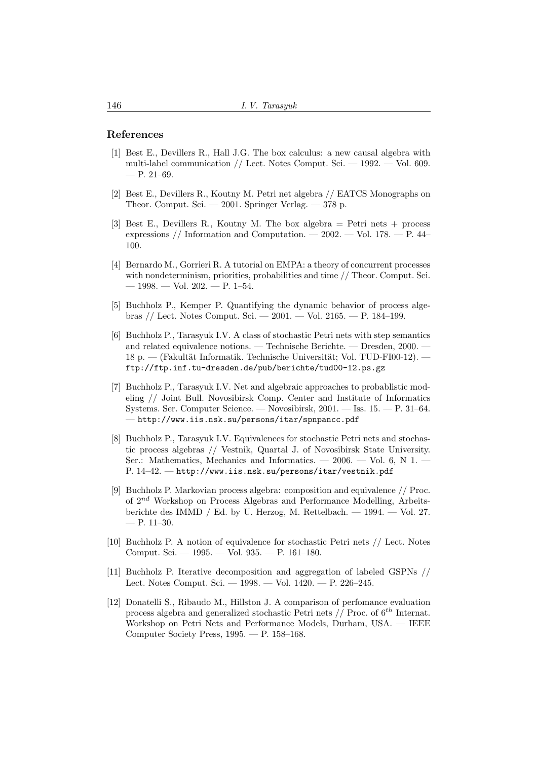## References

- [1] Best E., Devillers R., Hall J.G. The box calculus: a new causal algebra with multi-label communication // Lect. Notes Comput. Sci.  $-1992$ .  $-$  Vol. 609.  $-$  P. 21–69.
- [2] Best E., Devillers R., Koutny M. Petri net algebra // EATCS Monographs on Theor. Comput. Sci. — 2001. Springer Verlag. — 378 p.
- [3] Best E., Devillers R., Koutny M. The box algebra = Petri nets + process expressions // Information and Computation.  $-2002. -$  Vol. 178.  $-$  P. 44– 100.
- [4] Bernardo M., Gorrieri R. A tutorial on EMPA: a theory of concurrent processes with nondeterminism, priorities, probabilities and time // Theor. Comput. Sci.  $-1998. - Vol. 202. - P. 1-54.$
- [5] Buchholz P., Kemper P. Quantifying the dynamic behavior of process algebras // Lect. Notes Comput. Sci. — 2001. — Vol. 2165. — P. 184–199.
- [6] Buchholz P., Tarasyuk I.V. A class of stochastic Petri nets with step semantics and related equivalence notions. — Technische Berichte. — Dresden, 2000. — 18 p. — (Fakultät Informatik. Technische Universität; Vol. TUD-FI00-12). ftp://ftp.inf.tu-dresden.de/pub/berichte/tud00-12.ps.gz
- [7] Buchholz P., Tarasyuk I.V. Net and algebraic approaches to probablistic modeling // Joint Bull. Novosibirsk Comp. Center and Institute of Informatics Systems. Ser. Computer Science. — Novosibirsk, 2001. — Iss. 15. — P. 31–64. — http://www.iis.nsk.su/persons/itar/spnpancc.pdf
- [8] Buchholz P., Tarasyuk I.V. Equivalences for stochastic Petri nets and stochastic process algebras // Vestnik, Quartal J. of Novosibirsk State University. Ser.: Mathematics, Mechanics and Informatics. —  $2006.$  — Vol. 6, N 1. – P. 14–42. — http://www.iis.nsk.su/persons/itar/vestnik.pdf
- [9] Buchholz P. Markovian process algebra: composition and equivalence // Proc. of 2nd Workshop on Process Algebras and Performance Modelling, Arbeitsberichte des IMMD / Ed. by U. Herzog, M. Rettelbach. — 1994. — Vol. 27.  $-$  P. 11–30.
- [10] Buchholz P. A notion of equivalence for stochastic Petri nets // Lect. Notes Comput. Sci. — 1995. — Vol. 935. — P. 161–180.
- [11] Buchholz P. Iterative decomposition and aggregation of labeled GSPNs // Lect. Notes Comput. Sci. — 1998. — Vol. 1420. — P. 226–245.
- [12] Donatelli S., Ribaudo M., Hillston J. A comparison of perfomance evaluation process algebra and generalized stochastic Petri nets  $//$  Proc. of  $6<sup>th</sup>$  Internat. Workshop on Petri Nets and Performance Models, Durham, USA. — IEEE Computer Society Press, 1995. — P. 158–168.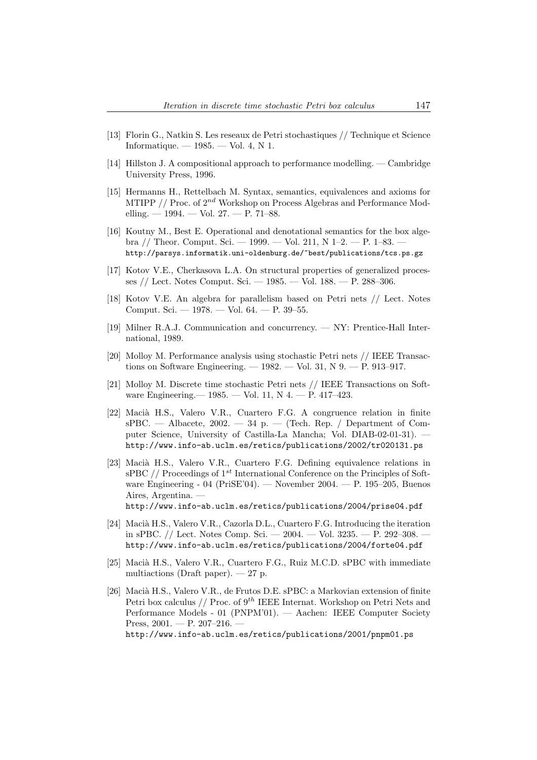- [13] Florin G., Natkin S. Les reseaux de Petri stochastiques // Technique et Science Informatique.  $-1985.$   $-$  Vol. 4, N 1.
- [14] Hillston J. A compositional approach to performance modelling. Cambridge University Press, 1996.
- [15] Hermanns H., Rettelbach M. Syntax, semantics, equivalences and axioms for MTIPP  $//$  Proc. of  $2^{nd}$  Workshop on Process Algebras and Performance Modelling.  $-1994. -$  Vol. 27.  $-$  P. 71–88.
- [16] Koutny M., Best E. Operational and denotational semantics for the box algebra // Theor. Comput. Sci. — 1999. — Vol. 211, N 1–2. — P. 1–83. http://parsys.informatik.uni-oldenburg.de/~best/publications/tcs.ps.gz
- [17] Kotov V.E., Cherkasova L.A. On structural properties of generalized processes // Lect. Notes Comput. Sci. — 1985. — Vol. 188. — P. 288–306.
- [18] Kotov V.E. An algebra for parallelism based on Petri nets // Lect. Notes Comput. Sci. — 1978. — Vol. 64. — P. 39–55.
- [19] Milner R.A.J. Communication and concurrency. NY: Prentice-Hall International, 1989.
- [20] Molloy M. Performance analysis using stochastic Petri nets // IEEE Transactions on Software Engineering.  $-1982.$   $-$  Vol. 31, N  $9.$   $-$  P. 913–917.
- [21] Molloy M. Discrete time stochastic Petri nets // IEEE Transactions on Software Engineering.— 1985. — Vol. 11, N 4. — P. 417–423.
- [22] Macià H.S., Valero V.R., Cuartero F.G. A congruence relation in finite  $sPBC.$  — Albacete, 2002. — 34 p. — (Tech. Rep. / Department of Computer Science, University of Castilla-La Mancha; Vol. DIAB-02-01-31). http://www.info-ab.uclm.es/retics/publications/2002/tr020131.ps
- [23] Macià H.S., Valero V.R., Cuartero F.G. Defining equivalence relations in sPBC // Proceedings of  $1^{st}$  International Conference on the Principles of Software Engineering - 04 (PriSE'04). — November 2004. — P. 195–205, Buenos Aires, Argentina. http://www.info-ab.uclm.es/retics/publications/2004/prise04.pdf
	-
- [24] Macià H.S., Valero V.R., Cazorla D.L., Cuartero F.G. Introducing the iteration in sPBC. // Lect. Notes Comp. Sci. — 2004. — Vol. 3235. — P. 292–308. http://www.info-ab.uclm.es/retics/publications/2004/forte04.pdf
- [25] Macià H.S., Valero V.R., Cuartero F.G., Ruiz M.C.D. sPBC with immediate multiactions (Draft paper).  $-27$  p.
- [26] Macià H.S., Valero V.R., de Frutos D.E. sPBC: a Markovian extension of finite Petri box calculus // Proc. of  $9^{th}$  IEEE Internat. Workshop on Petri Nets and Performance Models - 01 (PNPM'01). — Aachen: IEEE Computer Society Press,  $2001. - P. 207-216.$ http://www.info-ab.uclm.es/retics/publications/2001/pnpm01.ps